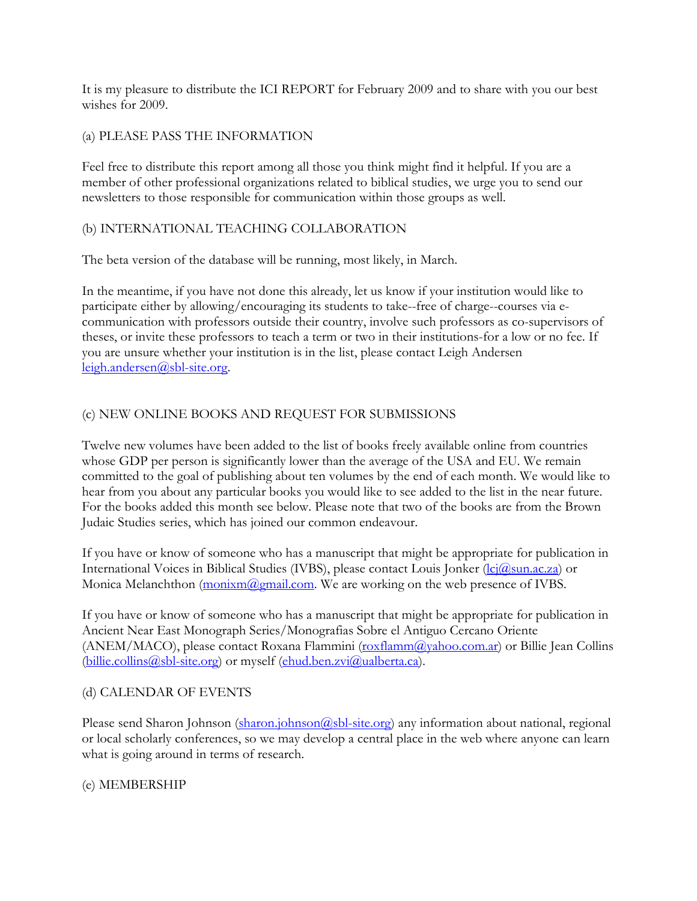It is my pleasure to distribute the ICI REPORT for February 2009 and to share with you our best wishes for 2009.

## (a) PLEASE PASS THE INFORMATION

Feel free to distribute this report among all those you think might find it helpful. If you are a member of other professional organizations related to biblical studies, we urge you to send our newsletters to those responsible for communication within those groups as well.

## (b) INTERNATIONAL TEACHING COLLABORATION

The beta version of the database will be running, most likely, in March.

In the meantime, if you have not done this already, let us know if your institution would like to participate either by allowing/encouraging its students to take--free of charge--courses via ecommunication with professors outside their country, involve such professors as co-supervisors of theses, or invite these professors to teach a term or two in their institutions-for a low or no fee. If you are unsure whether your institution is in the list, please contact Leigh Andersen [leigh.andersen@sbl-site.org.](mailto:leigh.andersen@sbl-site.org)

# (c) NEW ONLINE BOOKS AND REQUEST FOR SUBMISSIONS

Twelve new volumes have been added to the list of books freely available online from countries whose GDP per person is significantly lower than the average of the USA and EU. We remain committed to the goal of publishing about ten volumes by the end of each month. We would like to hear from you about any particular books you would like to see added to the list in the near future. For the books added this month see below. Please note that two of the books are from the Brown Judaic Studies series, which has joined our common endeavour.

If you have or know of someone who has a manuscript that might be appropriate for publication in International Voices in Biblical Studies (IVBS), please contact Louis Jonker [\(lcj@sun.ac.za\)](mailto:lcj@sun.ac.za) or Monica Melanchthon  $(\underline{monixm}(\overline{a})\underline{gmail.com})$ . We are working on the web presence of IVBS.

If you have or know of someone who has a manuscript that might be appropriate for publication in Ancient Near East Monograph Series/Monografias Sobre el Antiguo Cercano Oriente (ANEM/MACO), please contact Roxana Flammini [\(roxflamm@yahoo.com.ar\)](mailto:roxflamm@yahoo.com.ar) or Billie Jean Collins [\(billie.collins@sbl-site.org\)](mailto:billie.collins@sbl-site.org) or myself [\(ehud.ben.zvi@ualberta.ca\)](mailto:ehud.ben.zvi@ualberta.ca).

## (d) CALENDAR OF EVENTS

Please send Sharon Johnson [\(sharon.johnson@sbl-site.org\)](mailto:sharon.johnson@sbl-site.org) any information about national, regional or local scholarly conferences, so we may develop a central place in the web where anyone can learn what is going around in terms of research.

## (e) MEMBERSHIP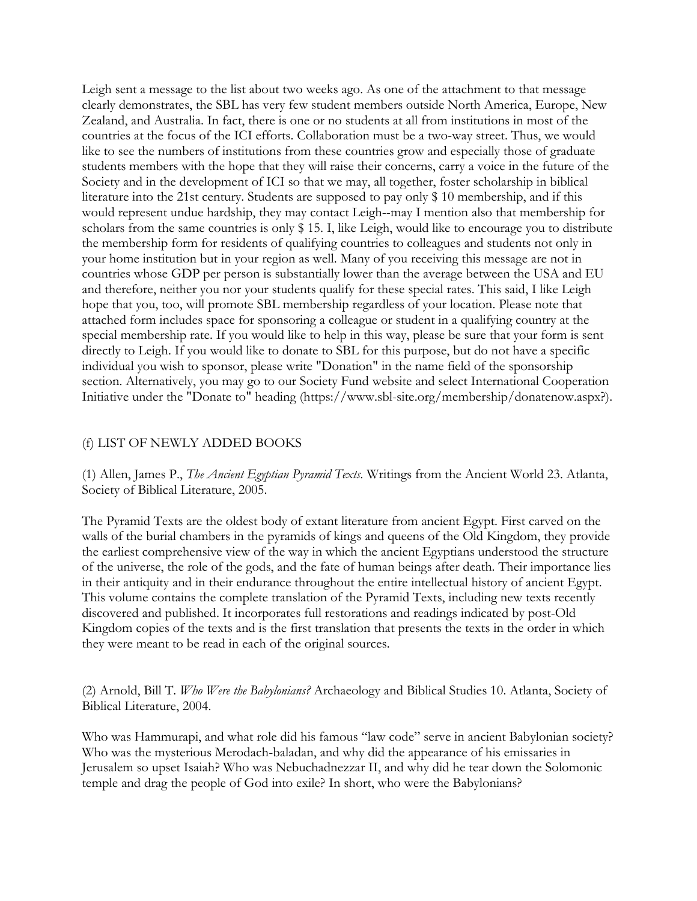Leigh sent a message to the list about two weeks ago. As one of the attachment to that message clearly demonstrates, the SBL has very few student members outside North America, Europe, New Zealand, and Australia. In fact, there is one or no students at all from institutions in most of the countries at the focus of the ICI efforts. Collaboration must be a two-way street. Thus, we would like to see the numbers of institutions from these countries grow and especially those of graduate students members with the hope that they will raise their concerns, carry a voice in the future of the Society and in the development of ICI so that we may, all together, foster scholarship in biblical literature into the 21st century. Students are supposed to pay only \$ 10 membership, and if this would represent undue hardship, they may contact Leigh--may I mention also that membership for scholars from the same countries is only \$15. I, like Leigh, would like to encourage you to distribute the membership form for residents of qualifying countries to colleagues and students not only in your home institution but in your region as well. Many of you receiving this message are not in countries whose GDP per person is substantially lower than the average between the USA and EU and therefore, neither you nor your students qualify for these special rates. This said, I like Leigh hope that you, too, will promote SBL membership regardless of your location. Please note that attached form includes space for sponsoring a colleague or student in a qualifying country at the special membership rate. If you would like to help in this way, please be sure that your form is sent directly to Leigh. If you would like to donate to SBL for this purpose, but do not have a specific individual you wish to sponsor, please write "Donation" in the name field of the sponsorship section. Alternatively, you may go to our Society Fund website and select International Cooperation Initiative under the "Donate to" heading [\(https://www.sbl-site.org/membership/donatenow.aspx?\)](https://www.sbl-site.org/membership/donatenow.aspx?).

#### (f) LIST OF NEWLY ADDED BOOKS

(1) Allen, James P., *The Ancient Egyptian Pyramid Texts.* Writings from the Ancient World 23. Atlanta, Society of Biblical Literature, 2005.

The Pyramid Texts are the oldest body of extant literature from ancient Egypt. First carved on the walls of the burial chambers in the pyramids of kings and queens of the Old Kingdom, they provide the earliest comprehensive view of the way in which the ancient Egyptians understood the structure of the universe, the role of the gods, and the fate of human beings after death. Their importance lies in their antiquity and in their endurance throughout the entire intellectual history of ancient Egypt. This volume contains the complete translation of the Pyramid Texts, including new texts recently discovered and published. It incorporates full restorations and readings indicated by post-Old Kingdom copies of the texts and is the first translation that presents the texts in the order in which they were meant to be read in each of the original sources.

(2) Arnold, Bill T. *Who Were the Babylonians?* Archaeology and Biblical Studies 10. Atlanta, Society of Biblical Literature, 2004.

Who was Hammurapi, and what role did his famous "law code" serve in ancient Babylonian society? Who was the mysterious Merodach-baladan, and why did the appearance of his emissaries in Jerusalem so upset Isaiah? Who was Nebuchadnezzar II, and why did he tear down the Solomonic temple and drag the people of God into exile? In short, who were the Babylonians?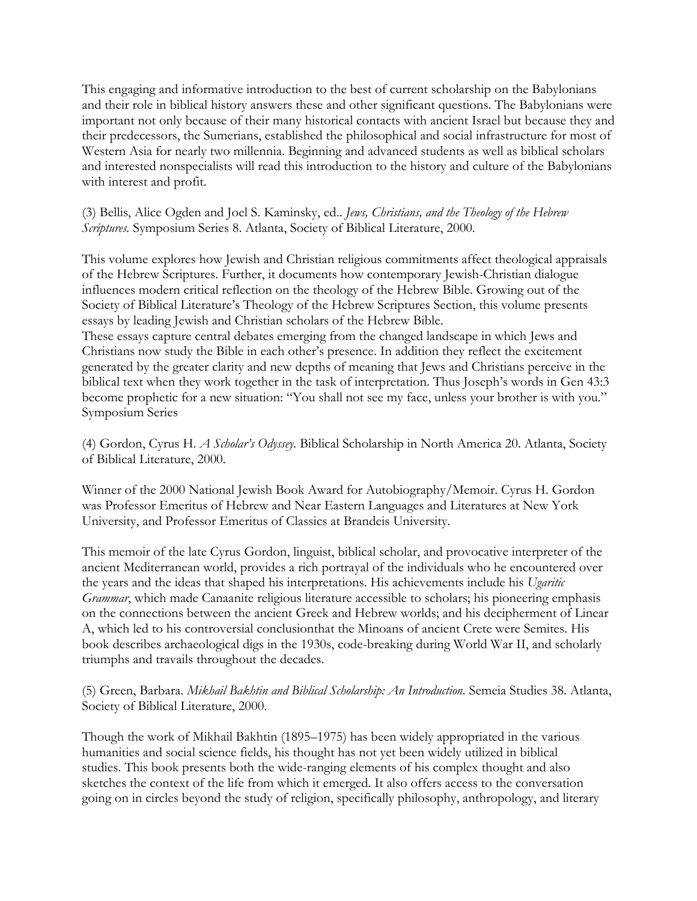This engaging and informative introduction to the best of current scholarship on the Babylonians and their role in biblical history answers these and other significant questions. The Babylonians were important not only because of their many historical contacts with ancient Israel but because they and their predecessors, the Sumerians, established the philosophical and social infrastructure for most of Western Asia for nearly two millennia. Beginning and advanced students as well as biblical scholars and interested nonspecialists will read this introduction to the history and culture of the Babylonians with interest and profit.

(3) Bellis, Alice Ogden and Joel S. Kaminsky, ed.. *Jews, Christians, and the Theology of the Hebrew Scriptures.* Symposium Series 8. Atlanta, Society of Biblical Literature, 2000.

This volume explores how Jewish and Christian religious commitments affect theological appraisals of the Hebrew Scriptures. Further, it documents how contemporary Jewish-Christian dialogue influences modern critical reflection on the theology of the Hebrew Bible. Growing out of the Society of Biblical Literature's Theology of the Hebrew Scriptures Section, this volume presents essays by leading Jewish and Christian scholars of the Hebrew Bible.

These essays capture central debates emerging from the changed landscape in which Jews and Christians now study the Bible in each other's presence. In addition they reflect the excitement generated by the greater clarity and new depths of meaning that Jews and Christians perceive in the biblical text when they work together in the task of interpretation. Thus Joseph's words in Gen 43:3 become prophetic for a new situation: "You shall not see my face, unless your brother is with you." Symposium Series

(4) Gordon, Cyrus H. *A Scholar's Odyssey.* Biblical Scholarship in North America 20. Atlanta, Society of Biblical Literature, 2000.

Winner of the 2000 National Jewish Book Award for Autobiography/Memoir. Cyrus H. Gordon was Professor Emeritus of Hebrew and Near Eastern Languages and Literatures at New York University, and Professor Emeritus of Classics at Brandeis University.

This memoir of the late Cyrus Gordon, linguist, biblical scholar, and provocative interpreter of the ancient Mediterranean world, provides a rich portrayal of the individuals who he encountered over the years and the ideas that shaped his interpretations. His achievements include his *Ugaritic Grammar*, which made Canaanite religious literature accessible to scholars; his pioneering emphasis on the connections between the ancient Greek and Hebrew worlds; and his decipherment of Linear A, which led to his controversial conclusionthat the Minoans of ancient Crete were Semites. His book describes archaeological digs in the 1930s, code-breaking during World War II, and scholarly triumphs and travails throughout the decades.

(5) Green, Barbara. *Mikhail Bakhtin and Biblical Scholarship: An Introduction.* Semeia Studies 38. Atlanta, Society of Biblical Literature, 2000.

Though the work of Mikhail Bakhtin (1895–1975) has been widely appropriated in the various humanities and social science fields, his thought has not yet been widely utilized in biblical studies. This book presents both the wide-ranging elements of his complex thought and also sketches the context of the life from which it emerged. It also offers access to the conversation going on in circles beyond the study of religion, specifically philosophy, anthropology, and literary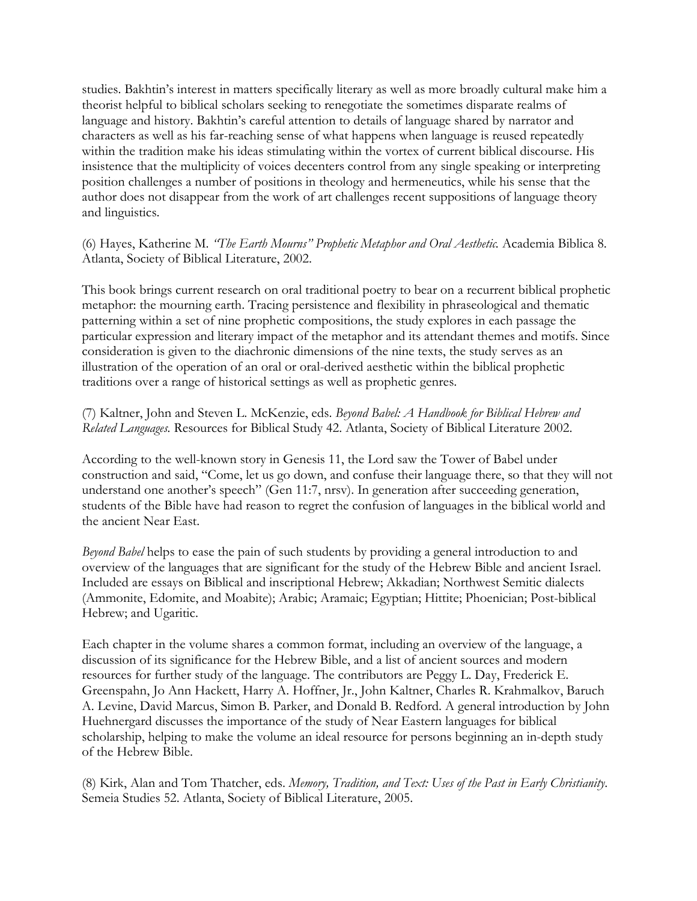studies. Bakhtin's interest in matters specifically literary as well as more broadly cultural make him a theorist helpful to biblical scholars seeking to renegotiate the sometimes disparate realms of language and history. Bakhtin's careful attention to details of language shared by narrator and characters as well as his far-reaching sense of what happens when language is reused repeatedly within the tradition make his ideas stimulating within the vortex of current biblical discourse. His insistence that the multiplicity of voices decenters control from any single speaking or interpreting position challenges a number of positions in theology and hermeneutics, while his sense that the author does not disappear from the work of art challenges recent suppositions of language theory and linguistics.

(6) Hayes, Katherine M. *"The Earth Mourns" Prophetic Metaphor and Oral Aesthetic.* Academia Biblica 8. Atlanta, Society of Biblical Literature, 2002.

This book brings current research on oral traditional poetry to bear on a recurrent biblical prophetic metaphor: the mourning earth. Tracing persistence and flexibility in phraseological and thematic patterning within a set of nine prophetic compositions, the study explores in each passage the particular expression and literary impact of the metaphor and its attendant themes and motifs. Since consideration is given to the diachronic dimensions of the nine texts, the study serves as an illustration of the operation of an oral or oral-derived aesthetic within the biblical prophetic traditions over a range of historical settings as well as prophetic genres.

(7) Kaltner, John and Steven L. McKenzie, eds. *Beyond Babel: A Handbook for Biblical Hebrew and Related Languages.* Resources for Biblical Study 42. Atlanta, Society of Biblical Literature 2002.

According to the well-known story in Genesis 11, the Lord saw the Tower of Babel under construction and said, "Come, let us go down, and confuse their language there, so that they will not understand one another's speech" (Gen 11:7, nrsv). In generation after succeeding generation, students of the Bible have had reason to regret the confusion of languages in the biblical world and the ancient Near East.

*Beyond Babel* helps to ease the pain of such students by providing a general introduction to and overview of the languages that are significant for the study of the Hebrew Bible and ancient Israel. Included are essays on Biblical and inscriptional Hebrew; Akkadian; Northwest Semitic dialects (Ammonite, Edomite, and Moabite); Arabic; Aramaic; Egyptian; Hittite; Phoenician; Post-biblical Hebrew; and Ugaritic.

Each chapter in the volume shares a common format, including an overview of the language, a discussion of its significance for the Hebrew Bible, and a list of ancient sources and modern resources for further study of the language. The contributors are Peggy L. Day, Frederick E. Greenspahn, Jo Ann Hackett, Harry A. Hoffner, Jr., John Kaltner, Charles R. Krahmalkov, Baruch A. Levine, David Marcus, Simon B. Parker, and Donald B. Redford. A general introduction by John Huehnergard discusses the importance of the study of Near Eastern languages for biblical scholarship, helping to make the volume an ideal resource for persons beginning an in-depth study of the Hebrew Bible.

(8) Kirk, Alan and Tom Thatcher, eds. *Memory, Tradition, and Text: Uses of the Past in Early Christianity*. Semeia Studies 52. Atlanta, Society of Biblical Literature, 2005.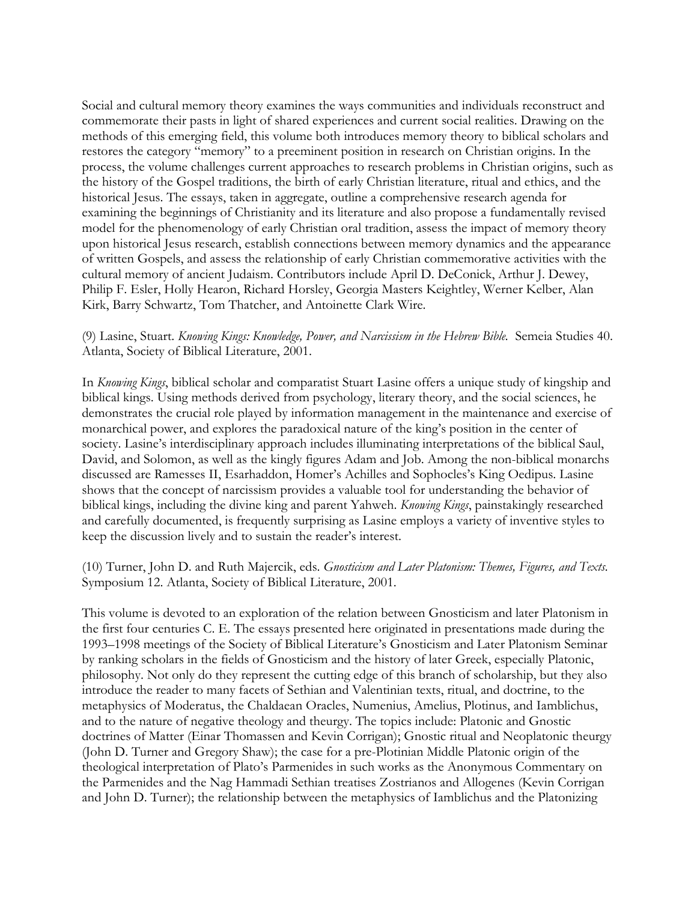Social and cultural memory theory examines the ways communities and individuals reconstruct and commemorate their pasts in light of shared experiences and current social realities. Drawing on the methods of this emerging field, this volume both introduces memory theory to biblical scholars and restores the category "memory" to a preeminent position in research on Christian origins. In the process, the volume challenges current approaches to research problems in Christian origins, such as the history of the Gospel traditions, the birth of early Christian literature, ritual and ethics, and the historical Jesus. The essays, taken in aggregate, outline a comprehensive research agenda for examining the beginnings of Christianity and its literature and also propose a fundamentally revised model for the phenomenology of early Christian oral tradition, assess the impact of memory theory upon historical Jesus research, establish connections between memory dynamics and the appearance of written Gospels, and assess the relationship of early Christian commemorative activities with the cultural memory of ancient Judaism. Contributors include April D. DeConick, Arthur J. Dewey, Philip F. Esler, Holly Hearon, Richard Horsley, Georgia Masters Keightley, Werner Kelber, Alan Kirk, Barry Schwartz, Tom Thatcher, and Antoinette Clark Wire.

#### (9) Lasine, Stuart. *Knowing Kings: Knowledge, Power, and Narcissism in the Hebrew Bible.* Semeia Studies 40. Atlanta, Society of Biblical Literature, 2001.

In *Knowing Kings*, biblical scholar and comparatist Stuart Lasine offers a unique study of kingship and biblical kings. Using methods derived from psychology, literary theory, and the social sciences, he demonstrates the crucial role played by information management in the maintenance and exercise of monarchical power, and explores the paradoxical nature of the king's position in the center of society. Lasine's interdisciplinary approach includes illuminating interpretations of the biblical Saul, David, and Solomon, as well as the kingly figures Adam and Job. Among the non-biblical monarchs discussed are Ramesses II, Esarhaddon, Homer's Achilles and Sophocles's King Oedipus. Lasine shows that the concept of narcissism provides a valuable tool for understanding the behavior of biblical kings, including the divine king and parent Yahweh. *Knowing Kings*, painstakingly researched and carefully documented, is frequently surprising as Lasine employs a variety of inventive styles to keep the discussion lively and to sustain the reader's interest.

#### (10) Turner, John D. and Ruth Majercik, eds. *Gnosticism and Later Platonism: Themes, Figures, and Texts.*  Symposium 12. Atlanta, Society of Biblical Literature, 2001.

This volume is devoted to an exploration of the relation between Gnosticism and later Platonism in the first four centuries C. E. The essays presented here originated in presentations made during the 1993–1998 meetings of the Society of Biblical Literature's Gnosticism and Later Platonism Seminar by ranking scholars in the fields of Gnosticism and the history of later Greek, especially Platonic, philosophy. Not only do they represent the cutting edge of this branch of scholarship, but they also introduce the reader to many facets of Sethian and Valentinian texts, ritual, and doctrine, to the metaphysics of Moderatus, the Chaldaean Oracles, Numenius, Amelius, Plotinus, and Iamblichus, and to the nature of negative theology and theurgy. The topics include: Platonic and Gnostic doctrines of Matter (Einar Thomassen and Kevin Corrigan); Gnostic ritual and Neoplatonic theurgy (John D. Turner and Gregory Shaw); the case for a pre-Plotinian Middle Platonic origin of the theological interpretation of Plato's Parmenides in such works as the Anonymous Commentary on the Parmenides and the Nag Hammadi Sethian treatises Zostrianos and Allogenes (Kevin Corrigan and John D. Turner); the relationship between the metaphysics of Iamblichus and the Platonizing